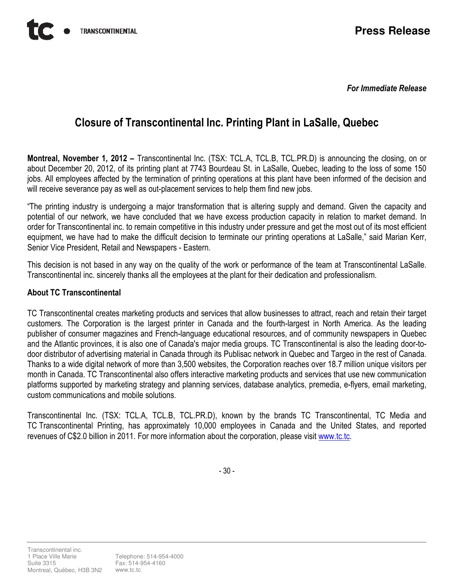For Immediate Release

## Closure of Transcontinental Inc. Printing Plant in LaSalle, Quebec

Montreal, November 1, 2012 – Transcontinental Inc. (TSX: TCL.A, TCL.B, TCL.PR.D) is announcing the closing, on or about December 20, 2012, of its printing plant at 7743 Bourdeau St. in LaSalle, Quebec, leading to the loss of some 150 jobs. All employees affected by the termination of printing operations at this plant have been informed of the decision and will receive severance pay as well as out-placement services to help them find new jobs.

"The printing industry is undergoing a major transformation that is altering supply and demand. Given the capacity and potential of our network, we have concluded that we have excess production capacity in relation to market demand. In order for Transcontinental inc. to remain competitive in this industry under pressure and get the most out of its most efficient equipment, we have had to make the difficult decision to terminate our printing operations at LaSalle," said Marian Kerr, Senior Vice President, Retail and Newspapers - Eastern.

This decision is not based in any way on the quality of the work or performance of the team at Transcontinental LaSalle. Transcontinental inc. sincerely thanks all the employees at the plant for their dedication and professionalism.

## About TC Transcontinental

TC Transcontinental creates marketing products and services that allow businesses to attract, reach and retain their target customers. The Corporation is the largest printer in Canada and the fourth-largest in North America. As the leading publisher of consumer magazines and French-language educational resources, and of community newspapers in Quebec and the Atlantic provinces, it is also one of Canada's major media groups. TC Transcontinental is also the leading door-todoor distributor of advertising material in Canada through its Publisac network in Quebec and Targeo in the rest of Canada. Thanks to a wide digital network of more than 3,500 websites, the Corporation reaches over 18.7 million unique visitors per month in Canada. TC Transcontinental also offers interactive marketing products and services that use new communication platforms supported by marketing strategy and planning services, database analytics, premedia, e-flyers, email marketing, custom communications and mobile solutions.

Transcontinental Inc. (TSX: TCL.A, TCL.B, TCL.PR.D), known by the brands TC Transcontinental, TC Media and TC Transcontinental Printing, has approximately 10,000 employees in Canada and the United States, and reported revenues of C\$2.0 billion in 2011. For more information about the corporation, please visit www.tc.tc.

- 30 -